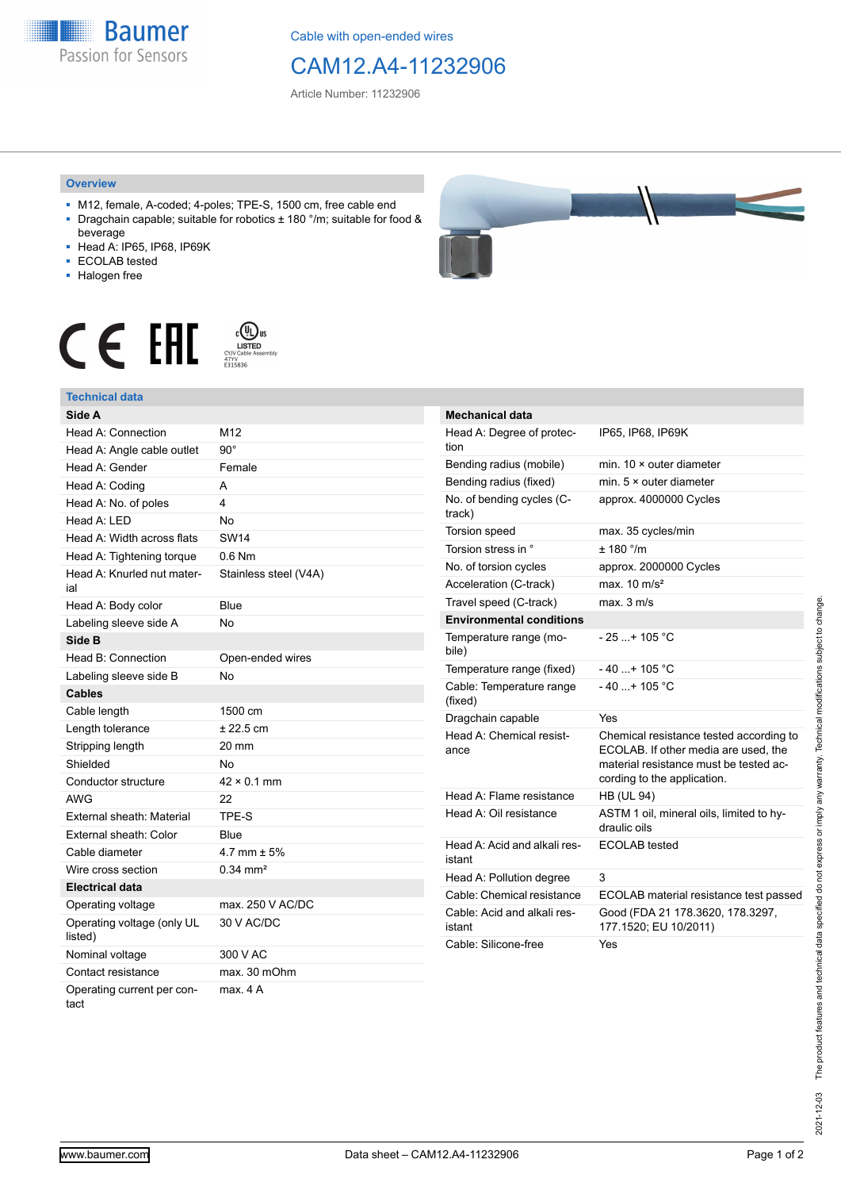**Baumer** Passion for Sensors

Cable with open-ended wires

## CAM12.A4-11232906

Article Number: 11232906

## **Overview**

- M12, female, A-coded; 4-poles; TPE-S, 1500 cm, free cable end ■ Dragchain capable; suitable for robotics ± 180 °/m; suitable for food &
- beverage ■ Head A: IP65, IP68, IP69K
- ECOLAB tested
- 
- Halogen free



## **Technical data**





| <b>Mechanical data</b>                 |                                                                                                                                                          |
|----------------------------------------|----------------------------------------------------------------------------------------------------------------------------------------------------------|
| Head A: Degree of protec-<br>tion      | IP65, IP68, IP69K                                                                                                                                        |
| Bending radius (mobile)                | min. 10 × outer diameter                                                                                                                                 |
| Bending radius (fixed)                 | min. $5 \times$ outer diameter                                                                                                                           |
| No. of bending cycles (C-<br>track)    | approx. 4000000 Cycles                                                                                                                                   |
| <b>Torsion speed</b>                   | max. 35 cycles/min                                                                                                                                       |
| Torsion stress in °                    | ± 180 °/m                                                                                                                                                |
| No. of torsion cycles                  | approx. 2000000 Cycles                                                                                                                                   |
| Acceleration (C-track)                 | max. $10 \text{ m/s}^2$                                                                                                                                  |
| Travel speed (C-track)                 | max. 3 m/s                                                                                                                                               |
| <b>Environmental conditions</b>        |                                                                                                                                                          |
| Temperature range (mo-<br>bile)        | $-25+105 °C$                                                                                                                                             |
| Temperature range (fixed)              | $-40+105$ °C                                                                                                                                             |
| Cable: Temperature range<br>(fixed)    | $-40$ + 105 °C                                                                                                                                           |
| Dragchain capable                      | Yes                                                                                                                                                      |
| Head A: Chemical resist-<br>ance       | Chemical resistance tested according to<br>ECOLAB. If other media are used, the<br>material resistance must be tested ac-<br>cording to the application. |
| Head A: Flame resistance               | <b>HB (UL 94)</b>                                                                                                                                        |
| Head A: Oil resistance                 | ASTM 1 oil, mineral oils, limited to hy-<br>draulic oils                                                                                                 |
| Head A: Acid and alkali res-<br>istant | ECOLAB tested                                                                                                                                            |
| Head A: Pollution degree               | 3                                                                                                                                                        |
| Cable: Chemical resistance             | ECOLAB material resistance test passed                                                                                                                   |
| Cable: Acid and alkali res-<br>istant  | Good (FDA 21 178.3620, 178.3297,<br>177.1520; EU 10/2011)                                                                                                |
| Cable: Silicone-free                   | Yes                                                                                                                                                      |